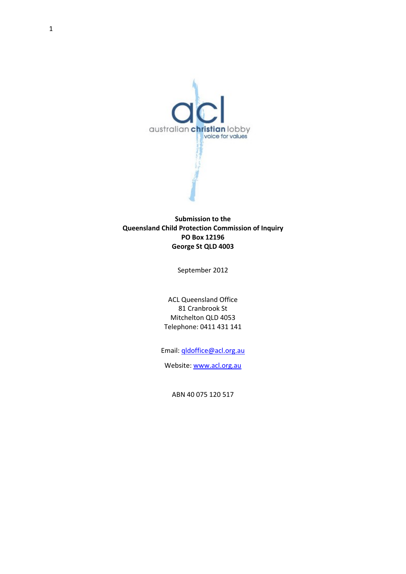

#### **Submission to the Queensland Child Protection Commission of Inquiry PO Box 12196 George St QLD 4003**

September 2012

ACL Queensland Office 81 Cranbrook St Mitchelton QLD 4053 Telephone: 0411 431 141

Email: [qldoffice@acl.org.au](mailto:qldoffice@acl.org.au)

Website: [www.acl.org.au](http://www.acl.org.au/)

ABN 40 075 120 517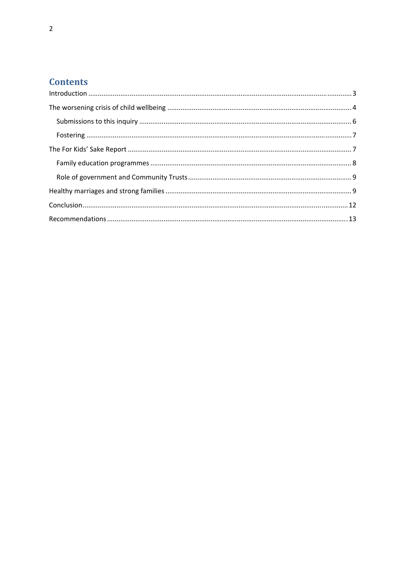# **Contents**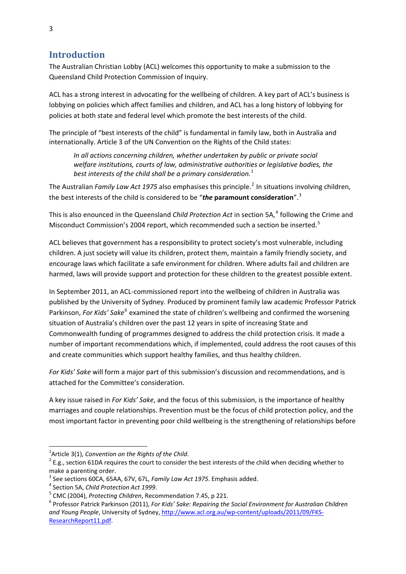# <span id="page-2-0"></span>**Introduction**

The Australian Christian Lobby (ACL) welcomes this opportunity to make a submission to the Queensland Child Protection Commission of Inquiry.

ACL has a strong interest in advocating for the wellbeing of children. A key part of ACL's business is lobbying on policies which affect families and children, and ACL has a long history of lobbying for policies at both state and federal level which promote the best interests of the child.

The principle of "best interests of the child" is fundamental in family law, both in Australia and internationally. Article 3 of the UN Convention on the Rights of the Child states:

*In all actions concerning children, whether undertaken by public or private social welfare institutions, courts of law, administrative authorities or legislative bodies, the best interests of the child shall be a primary consideration.*[1](#page-2-1)

The Australian *Family Law Act 1975* also emphasises this principle.[2](#page-2-2) In situations involving children, the best interests of the child is considered to be "*the* **paramount consideration**".[3](#page-2-3)

This is also enounced in the Queensland *Child Protection Act* in section 5A,<sup>[4](#page-2-4)</sup> following the Crime and Misconduct Commission's 2004 report, which recommended such a section be inserted.[5](#page-2-5)

ACL believes that government has a responsibility to protect society's most vulnerable, including children. A just society will value its children, protect them, maintain a family friendly society, and encourage laws which facilitate a safe environment for children. Where adults fail and children are harmed, laws will provide support and protection for these children to the greatest possible extent.

In September 2011, an ACL‐commissioned report into the wellbeing of children in Australia was published by the University of Sydney. Produced by prominent family law academic Professor Patrick Parkinson, *For Kids' Sake*<sup>[6](#page-2-6)</sup> examined the state of children's wellbeing and confirmed the worsening situation of Australia's children over the past 12 years in spite of increasing State and Commonwealth funding of programmes designed to address the child protection crisis. It made a number of important recommendations which, if implemented, could address the root causes of this and create communities which support healthy families, and thus healthy children.

*For Kids' Sake* will form a major part of this submission's discussion and recommendations, and is attached for the Committee's consideration.

A key issue raised in *For Kids' Sake*, and the focus of this submission, is the importance of healthy marriages and couple relationships. Prevention must be the focus of child protection policy, and the most important factor in preventing poor child wellbeing is the strengthening of relationships before

<span id="page-2-1"></span> $1$ Article 3(1), Convention on the Rights of the Child.

<span id="page-2-2"></span><sup>&</sup>lt;sup>2</sup> E.g., section 61DA requires the court to consider the best interests of the child when deciding whether to make a parenting order.

<span id="page-2-4"></span>

<span id="page-2-6"></span><span id="page-2-5"></span>

<span id="page-2-3"></span><sup>&</sup>lt;sup>3</sup> See sections 60CA, 65AA, 67V, 67L, Family Law Act 1975. Emphasis added.<br><sup>4</sup> Section 5A, *Child Protection Act 1999.*<br><sup>5</sup> CMC (2004), *Protecting Children*, Recommendation 7.45, p 221.<br><sup>6</sup> Professor Patrick Parkinson ( *and Young People*, University of Sydney, http://www.acl.org.au/wp‐[content/uploads/2011/09/FKS](http://www.acl.org.au/wp-content/uploads/2011/09/FKS-ResearchReport11.pdf)‐ [ResearchReport11.pdf](http://www.acl.org.au/wp-content/uploads/2011/09/FKS-ResearchReport11.pdf).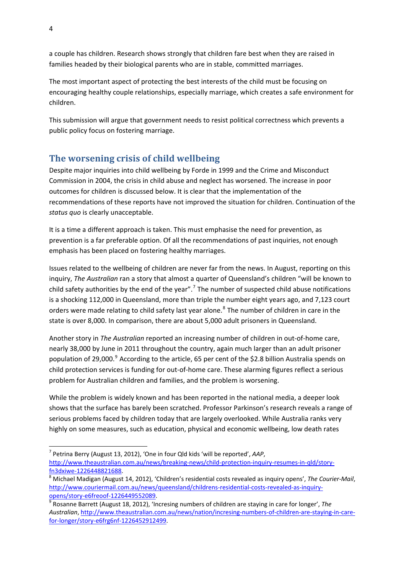<span id="page-3-0"></span>a couple has children. Research shows strongly that children fare best when they are raised in families headed by their biological parents who are in stable, committed marriages.

The most important aspect of protecting the best interests of the child must be focusing on encouraging healthy couple relationships, especially marriage, which creates a safe environment for children.

This submission will argue that government needs to resist political correctness which prevents a public policy focus on fostering marriage.

## **The worsening crisis of child wellbeing**

Despite major inquiries into child wellbeing by Forde in 1999 and the Crime and Misconduct Commission in 2004, the crisis in child abuse and neglect has worsened. The increase in poor outcomes for children is discussed below. It is clear that the implementation of the recommendations of these reports have not improved the situation for children. Continuation of the *status quo* is clearly unacceptable.

It is a time a different approach is taken. This must emphasise the need for prevention, as prevention is a far preferable option. Of all the recommendations of past inquiries, not enough emphasis has been placed on fostering healthy marriages.

Issues related to the wellbeing of children are never far from the news. In August, reporting on this inquiry, *The Australian* ran a story that almost a quarter of Queensland's children "will be known to child safety authorities by the end of the year".<sup>[7](#page-3-1)</sup> The number of suspected child abuse notifications is a shocking 112,000 in Queensland, more than triple the number eight years ago, and 7,123 court orders were made relating to child safety last year alone.<sup>[8](#page-3-2)</sup> The number of children in care in the state is over 8,000. In comparison, there are about 5,000 adult prisoners in Queensland.

Another story in *The Australian* reported an increasing number of children in out‐of‐home care, nearly 38,000 by June in 2011 throughout the country, again much larger than an adult prisoner population of 2[9](#page-3-3),000.<sup>9</sup> According to the article, 65 per cent of the \$2.8 billion Australia spends on child protection services is funding for out‐of‐home care. These alarming figures reflect a serious problem for Australian children and families, and the problem is worsening.

While the problem is widely known and has been reported in the national media, a deeper look shows that the surface has barely been scratched. Professor Parkinson's research reveals a range of serious problems faced by children today that are largely overlooked. While Australia ranks very highly on some measures, such as education, physical and economic wellbeing, low death rates

<span id="page-3-1"></span><sup>7</sup> Petrina Berry (August 13, 2012), 'One in four Qld kids 'will be reported', *AAP*, [http://www.theaustralian.com.au/news/breaking](http://www.theaustralian.com.au/news/breaking-news/child-protection-inquiry-resumes-in-qld/story-fn3dxiwe-1226448821688)‐news/child‐protection‐inquiry‐resumes‐in‐qld/story‐

<span id="page-3-2"></span>fn3dxiwe‐[1226448821688](http://www.theaustralian.com.au/news/breaking-news/child-protection-inquiry-resumes-in-qld/story-fn3dxiwe-1226448821688). <sup>8</sup> Michael Madigan (August 14, 2012), 'Children's residential costs revealed as inquiry opens', *The Courier‐Mail*, [http://www.couriermail.com.au/news/queensland/childrens](http://www.couriermail.com.au/news/queensland/childrens-residential-costs-revealed-as-inquiry-opens/story-e6freoof-1226449552089)-residential-costs-revealed-as-inquiry-<br>opens/story-e6freoof-1226449552089.

<span id="page-3-3"></span><sup>&</sup>lt;sup>9</sup> Rosanne Barrett (August 18, 2012), 'Incresing numbers of children are staying in care for longer', *The Australian*, [http://www.theaustralian.com.au/news/nation/incresing](http://www.theaustralian.com.au/news/nation/incresing-numbers-of-children-are-staying-in-care-for-longer/story-e6frg6nf-1226452912499)‐numbers‐of‐children‐are‐staying‐in‐care‐ for‐longer/story‐e6frg6nf‐[1226452912499.](http://www.theaustralian.com.au/news/nation/incresing-numbers-of-children-are-staying-in-care-for-longer/story-e6frg6nf-1226452912499)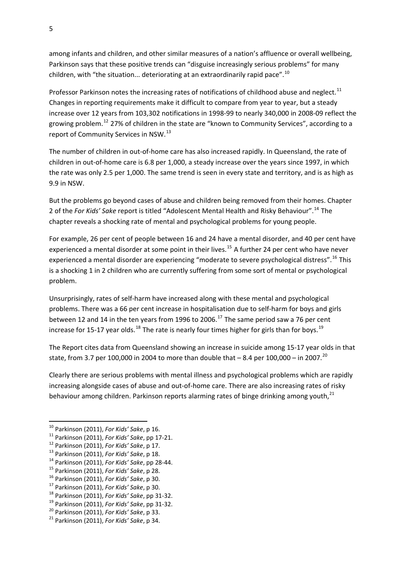among infants and children, and other similar measures of a nation's affluence or overall wellbeing, Parkinson says that these positive trends can "disguise increasingly serious problems" for many children, with "the situation... deteriorating at an extraordinarily rapid pace".<sup>[10](#page-4-0)</sup>

Professor Parkinson notes the increasing rates of notifications of childhood abuse and neglect.<sup>[11](#page-4-1)</sup> Changes in reporting requirements make it difficult to compare from year to year, but a steady increase over 12 years from 103,302 notifications in 1998‐99 to nearly 340,000 in 2008‐09 reflect the growing problem.[12](#page-4-2) 27% of children in the state are "known to Community Services", according to a report of Community Services in NSW.<sup>[13](#page-4-3)</sup>

The number of children in out-of-home care has also increased rapidly. In Queensland, the rate of children in out‐of‐home care is 6.8 per 1,000, a steady increase over the years since 1997, in which the rate was only 2.5 per 1,000. The same trend is seen in every state and territory, and is as high as 9.9 in NSW.

But the problems go beyond cases of abuse and children being removed from their homes. Chapter 2 of the *For Kids' Sake* report is titled "Adolescent Mental Health and Risky Behaviour".[14](#page-4-4) The chapter reveals a shocking rate of mental and psychological problems for young people.

For example, 26 per cent of people between 16 and 24 have a mental disorder, and 40 per cent have experienced a mental disorder at some point in their lives.<sup>[15](#page-4-5)</sup> A further 24 per cent who have never experienced a mental disorder are experiencing "moderate to severe psychological distress".<sup>[16](#page-4-6)</sup> This is a shocking 1 in 2 children who are currently suffering from some sort of mental or psychological problem.

Unsurprisingly, rates of self‐harm have increased along with these mental and psychological problems. There was a 66 per cent increase in hospitalisation due to self‐harm for boys and girls between 12 and 14 in the ten years from 1996 to 2006.<sup>[17](#page-4-7)</sup> The same period saw a 76 per cent increase for 15-17 year olds.<sup>[18](#page-4-8)</sup> The rate is nearly four times higher for girls than for boys.<sup>[19](#page-4-9)</sup>

The Report cites data from Queensland showing an increase in suicide among 15‐17 year olds in that state, from 3.7 per 100,000 in [20](#page-4-10)04 to more than double that  $-8.4$  per 100,000 – in 2007.<sup>20</sup>

Clearly there are serious problems with mental illness and psychological problems which are rapidly increasing alongside cases of abuse and out‐of‐home care. There are also increasing rates of risky behaviour among children. Parkinson reports alarming rates of binge drinking among youth,<sup>[21](#page-4-11)</sup>

<span id="page-4-1"></span><span id="page-4-0"></span><sup>&</sup>lt;sup>10</sup> Parkinson (2011), For Kids' Sake, p 16.

<sup>&</sup>lt;sup>10</sup> Parkinson (2011), *For Kids' Sake*, p 16.<br>
<sup>11</sup> Parkinson (2011), *For Kids' Sake*, pp 17-21.<br>
<sup>12</sup> Parkinson (2011), *For Kids' Sake*, p 17.<br>
<sup>13</sup> Parkinson (2011), *For Kids' Sake*, p 18.<br>
<sup>14</sup> Parkinson (2011), *F* 

<span id="page-4-2"></span>

<span id="page-4-3"></span>

<span id="page-4-4"></span>

<span id="page-4-5"></span>

<span id="page-4-6"></span>

<span id="page-4-7"></span>

<span id="page-4-8"></span>

<span id="page-4-9"></span>

<span id="page-4-10"></span>

<span id="page-4-11"></span>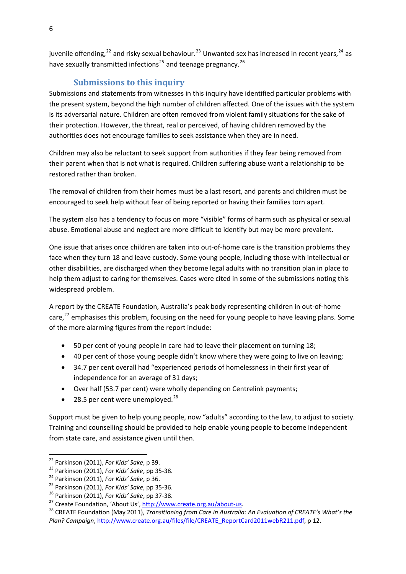<span id="page-5-0"></span>juvenile offending,<sup>[22](#page-5-1)</sup> and risky sexual behaviour.<sup>[23](#page-5-2)</sup> Unwanted sex has increased in recent years,<sup>[24](#page-5-3)</sup> as have sexually transmitted infections<sup>[25](#page-5-4)</sup> and teenage pregnancy.<sup>[26](#page-5-5)</sup>

## **Submissions to this inquiry**

Submissions and statements from witnesses in this inquiry have identified particular problems with the present system, beyond the high number of children affected. One of the issues with the system is its adversarial nature. Children are often removed from violent family situations for the sake of their protection. However, the threat, real or perceived, of having children removed by the authorities does not encourage families to seek assistance when they are in need.

Children may also be reluctant to seek support from authorities if they fear being removed from their parent when that is not what is required. Children suffering abuse want a relationship to be restored rather than broken.

The removal of children from their homes must be a last resort, and parents and children must be encouraged to seek help without fear of being reported or having their families torn apart.

The system also has a tendency to focus on more "visible" forms of harm such as physical or sexual abuse. Emotional abuse and neglect are more difficult to identify but may be more prevalent.

One issue that arises once children are taken into out-of-home care is the transition problems they face when they turn 18 and leave custody. Some young people, including those with intellectual or other disabilities, are discharged when they become legal adults with no transition plan in place to help them adjust to caring for themselves. Cases were cited in some of the submissions noting this widespread problem.

A report by the CREATE Foundation, Australia's peak body representing children in out‐of‐home care, $^{27}$  $^{27}$  $^{27}$  emphasises this problem, focusing on the need for young people to have leaving plans. Some of the more alarming figures from the report include:

- 50 per cent of young people in care had to leave their placement on turning 18;
- 40 per cent of those young people didn't know where they were going to live on leaving;
- 34.7 per cent overall had "experienced periods of homelessness in their first year of independence for an average of 31 days;
- Over half (53.7 per cent) were wholly depending on Centrelink payments;
- [28](#page-5-7).5 per cent were unemployed. $^{28}$

Support must be given to help young people, now "adults" according to the law, to adjust to society. Training and counselling should be provided to help enable young people to become independent from state care, and assistance given until then.

<span id="page-5-3"></span>

<span id="page-5-4"></span>

<span id="page-5-5"></span>

<span id="page-5-7"></span><span id="page-5-6"></span>

<span id="page-5-2"></span><span id="page-5-1"></span><sup>&</sup>lt;sup>22</sup> Parkinson (2011), *For Kids' Sake*, p 39.<br><sup>23</sup> Parkinson (2011), *For Kids' Sake*, pp 35-38.<br><sup>24</sup> Parkinson (2011), *For Kids' Sake*, p 36.<br><sup>25</sup> Parkinson (2011), *For Kids' Sake*, pp 35-36.<br><sup>25</sup> Parkinson (2011), *F Plan? Campaign*, [http://www.create.org.au/files/file/CREATE\\_ReportCard2011webR211.pdf](http://www.create.org.au/files/file/CREATE_ReportCard2011webR211.pdf), p 12.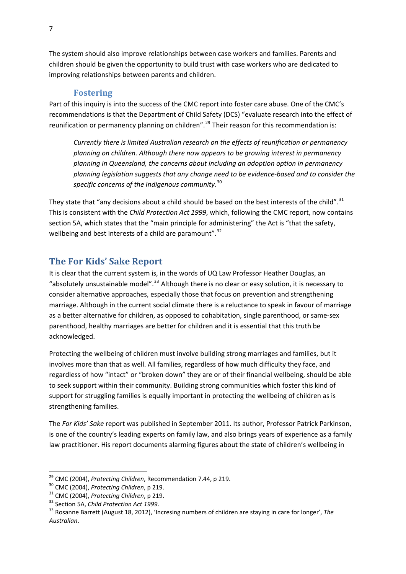<span id="page-6-0"></span>The system should also improve relationships between case workers and families. Parents and children should be given the opportunity to build trust with case workers who are dedicated to improving relationships between parents and children.

#### **Fostering**

Part of this inquiry is into the success of the CMC report into foster care abuse. One of the CMC's recommendations is that the Department of Child Safety (DCS) "evaluate research into the effect of reunification or permanency planning on children".<sup>[29](#page-6-1)</sup> Their reason for this recommendation is:

*Currently there is limited Australian research on the effects of reunification or permanency planning on children. Although there now appears to be growing interest in permanency planning in Queensland, the concerns about including an adoption option in permanency planning legislation suggests that any change need to be evidence‐based and to consider the specific concerns of the Indigenous community.*[30](#page-6-2)

They state that "any decisions about a child should be based on the best interests of the child".  $31$ This is consistent with the *Child Protection Act 1999*, which, following the CMC report, now contains section 5A, which states that the "main principle for administering" the Act is "that the safety, wellbeing and best interests of a child are paramount".<sup>[32](#page-6-4)</sup>

### **The For Kids' Sake Report**

It is clear that the current system is, in the words of UQ Law Professor Heather Douglas, an "absolutely unsustainable model".<sup>[33](#page-6-5)</sup> Although there is no clear or easy solution, it is necessary to consider alternative approaches, especially those that focus on prevention and strengthening marriage. Although in the current social climate there is a reluctance to speak in favour of marriage as a better alternative for children, as opposed to cohabitation, single parenthood, or same‐sex parenthood, healthy marriages are better for children and it is essential that this truth be acknowledged.

Protecting the wellbeing of children must involve building strong marriages and families, but it involves more than that as well. All families, regardless of how much difficulty they face, and regardless of how "intact" or "broken down" they are or of their financial wellbeing, should be able to seek support within their community. Building strong communities which foster this kind of support for struggling families is equally important in protecting the wellbeing of children as is strengthening families.

The *For Kids' Sake* report was published in September 2011. Its author, Professor Patrick Parkinson, is one of the country's leading experts on family law, and also brings years of experience as a family law practitioner. His report documents alarming figures about the state of children's wellbeing in

<span id="page-6-1"></span><sup>&</sup>lt;sup>29</sup> CMC (2004), Protecting Children, Recommendation 7.44, p 219.

<span id="page-6-3"></span>

<span id="page-6-5"></span><span id="page-6-4"></span>

<span id="page-6-2"></span><sup>&</sup>lt;sup>30</sup> CMC (2004), *Protecting Children*, p 219.<br><sup>31</sup> CMC (2004), *Protecting Children*, p 219.<br><sup>32</sup> Section 5A, *Child Protection Act 1999*.<br><sup>33</sup> Rosanne Barrett (August 18, 2012), 'Incresing numbers of children are stayin *Australian*.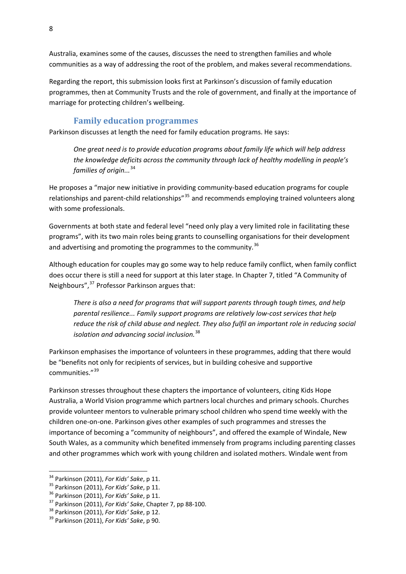<span id="page-7-0"></span>Australia, examines some of the causes, discusses the need to strengthen families and whole communities as a way of addressing the root of the problem, and makes several recommendations.

Regarding the report, this submission looks first at Parkinson's discussion of family education programmes, then at Community Trusts and the role of government, and finally at the importance of marriage for protecting children's wellbeing.

#### **Family education programmes**

Parkinson discusses at length the need for family education programs. He says:

*One great need is to provide education programs about family life which will help address the knowledge deficits across the community through lack of healthy modelling in people's families of origin...*[34](#page-7-1)

He proposes a "major new initiative in providing community-based education programs for couple relationships and parent-child relationships<sup>"[35](#page-7-2)</sup> and recommends employing trained volunteers along with some professionals.

Governments at both state and federal level "need only play a very limited role in facilitating these programs", with its two main roles being grants to counselling organisations for their development and advertising and promoting the programmes to the community.<sup>[36](#page-7-3)</sup>

Although education for couples may go some way to help reduce family conflict, when family conflict does occur there is still a need for support at this later stage. In Chapter 7, titled "A Community of Neighbours",<sup>[37](#page-7-4)</sup> Professor Parkinson argues that:

*There is also a need for programs that will support parents through tough times, and help parental resilience... Family support programs are relatively low‐cost services that help reduce the risk of child abuse and neglect. They also fulfil an important role in reducing social isolation and advancing social inclusion.*[38](#page-7-5)

Parkinson emphasises the importance of volunteers in these programmes, adding that there would be "benefits not only for recipients of services, but in building cohesive and supportive communities."[39](#page-7-6)

Parkinson stresses throughout these chapters the importance of volunteers, citing Kids Hope Australia, a World Vision programme which partners local churches and primary schools. Churches provide volunteer mentors to vulnerable primary school children who spend time weekly with the children one‐on‐one. Parkinson gives other examples of such programmes and stresses the importance of becoming a "community of neighbours", and offered the example of Windale, New South Wales, as a community which benefited immensely from programs including parenting classes and other programmes which work with young children and isolated mothers. Windale went from

<span id="page-7-1"></span><sup>&</sup>lt;sup>34</sup> Parkinson (2011), For Kids' Sake, p 11.

<span id="page-7-4"></span><span id="page-7-3"></span>

<span id="page-7-2"></span><sup>&</sup>lt;sup>35</sup> Parkinson (2011), *For Kids' Sake*, p 11.<br><sup>36</sup> Parkinson (2011), *For Kids' Sake*, p 11.<br><sup>37</sup> Parkinson (2011), *For Kids' Sake*, Chapter 7, pp 88-100.<br><sup>38</sup> Parkinson (2011), *For Kids' Sake*, p 12.<br><sup>39</sup> Parkinson (2

<span id="page-7-5"></span>

<span id="page-7-6"></span>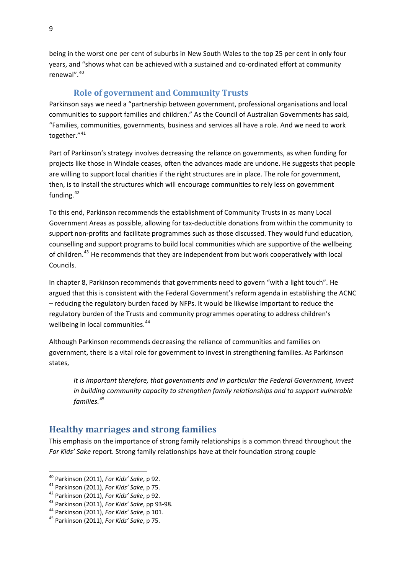<span id="page-8-0"></span>being in the worst one per cent of suburbs in New South Wales to the top 25 per cent in only four years, and "shows what can be achieved with a sustained and co-ordinated effort at community renewal".<sup>[40](#page-8-1)</sup>

#### **Role of government and Community Trusts**

Parkinson says we need a "partnership between government, professional organisations and local communities to support families and children." As the Council of Australian Governments has said, "Families, communities, governments, business and services all have a role. And we need to work together."<sup>[41](#page-8-2)</sup>

Part of Parkinson's strategy involves decreasing the reliance on governments, as when funding for projects like those in Windale ceases, often the advances made are undone. He suggests that people are willing to support local charities if the right structures are in place. The role for government, then, is to install the structures which will encourage communities to rely less on government funding.<sup>[42](#page-8-3)</sup>

To this end, Parkinson recommends the establishment of Community Trusts in as many Local Government Areas as possible, allowing for tax‐deductible donations from within the community to support non‐profits and facilitate programmes such as those discussed. They would fund education, counselling and support programs to build local communities which are supportive of the wellbeing of children.<sup>[43](#page-8-4)</sup> He recommends that they are independent from but work cooperatively with local Councils.

In chapter 8, Parkinson recommends that governments need to govern "with a light touch". He argued that this is consistent with the Federal Government's reform agenda in establishing the ACNC – reducing the regulatory burden faced by NFPs. It would be likewise important to reduce the regulatory burden of the Trusts and community programmes operating to address children's wellbeing in local communities.<sup>[44](#page-8-5)</sup>

Although Parkinson recommends decreasing the reliance of communities and families on government, there is a vital role for government to invest in strengthening families. As Parkinson states,

*It is important therefore, that governments and in particular the Federal Government, invest in building community capacity to strengthen family relationships and to support vulnerable families.*[45](#page-8-6)

## **Healthy marriages and strong families**

This emphasis on the importance of strong family relationships is a common thread throughout the *For Kids' Sake* report. Strong family relationships have at their foundation strong couple

<span id="page-8-1"></span><sup>&</sup>lt;sup>40</sup> Parkinson (2011), For Kids' Sake, p 92.

<span id="page-8-4"></span><span id="page-8-3"></span>

<span id="page-8-2"></span><sup>&</sup>lt;sup>41</sup> Parkinson (2011), For Kids' Sake, p 75.<br><sup>42</sup> Parkinson (2011), For Kids' Sake, p 92.<br><sup>43</sup> Parkinson (2011), For Kids' Sake, pp 93-98.<br><sup>44</sup> Parkinson (2011), For Kids' Sake, p 101.<br><sup>45</sup> Parkinson (2011), For Kids' Sak

<span id="page-8-5"></span>

<span id="page-8-6"></span>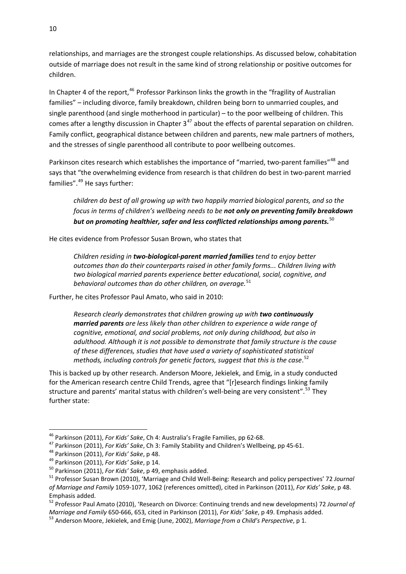relationships, and marriages are the strongest couple relationships. As discussed below, cohabitation outside of marriage does not result in the same kind of strong relationship or positive outcomes for children.

In Chapter 4 of the report, $46$  Professor Parkinson links the growth in the "fragility of Australian families" – including divorce, family breakdown, children being born to unmarried couples, and single parenthood (and single motherhood in particular) – to the poor wellbeing of children. This comes after a lengthy discussion in Chapter  $3^{47}$  $3^{47}$  $3^{47}$  about the effects of parental separation on children. Family conflict, geographical distance between children and parents, new male partners of mothers, and the stresses of single parenthood all contribute to poor wellbeing outcomes.

Parkinson cites research which establishes the importance of "married, two-parent families"<sup>[48](#page-9-2)</sup> and says that "the overwhelming evidence from research is that children do best in two-parent married families".[49](#page-9-3) He says further:

*children do best of all growing up with two happily married biological parents, and so the focus in terms of children's wellbeing needs to be not only on preventing family breakdown but on promoting healthier, safer and less conflicted relationships among parents.*[50](#page-9-4)

He cites evidence from Professor Susan Brown, who states that

*Children residing in two‐biological‐parent married families tend to enjoy better outcomes than do their counterparts raised in other family forms... Children living with two biological married parents experience better educational, social, cognitive, and behavioral outcomes than do other children, on average.*[51](#page-9-5)

Further, he cites Professor Paul Amato, who said in 2010:

*Research clearly demonstrates that children growing up with two continuously married parents are less likely than other children to experience a wide range of cognitive, emotional, and social problems, not only during childhood, but also in adulthood. Although it is not possible to demonstrate that family structure is the cause of these differences, studies that have used a variety of sophisticated statistical methods, including controls for genetic factors, suggest that this is the case*. [52](#page-9-6)

This is backed up by other research. Anderson Moore, Jekielek, and Emig, in a study conducted for the American research centre Child Trends, agree that "[r]esearch findings linking family structure and parents' marital status with children's well-being are very consistent".<sup>[53](#page-9-7)</sup> They further state:

<span id="page-9-1"></span>

<span id="page-9-2"></span>

<span id="page-9-3"></span>

<span id="page-9-5"></span><span id="page-9-4"></span>

<span id="page-9-0"></span><sup>&</sup>lt;sup>46</sup> Parkinson (2011), *For Kids' Sake*, Ch 4: Australia's Fragile Families, pp 62-68.<br><sup>47</sup> Parkinson (2011), *For Kids' Sake*, Ch 3: Family Stability and Children's Wellbeing, pp 45-61.<br><sup>48</sup> Parkinson (2011), *For Kids' of Marriage and Family* 1059‐1077, 1062 (references omitted), cited in Parkinson (2011), *For Kids' Sake*, p 48. Emphasis added. <sup>52</sup> Professor Paul Amato (2010), 'Research on Divorce: Continuing trends and new developments) <sup>72</sup> *Journal of*

<span id="page-9-6"></span>Marriage and Family 650-666, 653, cited in Parkinson (2011), For Kids' Sake, p 49. Emphasis added.<br><sup>53</sup> Anderson Moore. Jekielek, and Emig (June, 2002), Marriage from a Child's Perspective, p 1.

<span id="page-9-7"></span>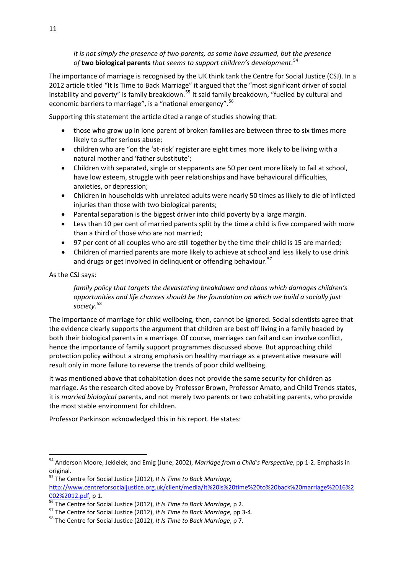*it is not simply the presence of two parents, as some have assumed, but the presence of* **two biological parents** *that seems to support children's development*. [54](#page-10-0)

The importance of marriage is recognised by the UK think tank the Centre for Social Justice (CSJ). In a 2012 article titled "It Is Time to Back Marriage" it argued that the "most significant driver of social instability and poverty" is family breakdown.<sup>[55](#page-10-1)</sup> It said family breakdown, "fuelled by cultural and economic barriers to marriage", is a "national emergency".<sup>[56](#page-10-2)</sup>

Supporting this statement the article cited a range of studies showing that:

- those who grow up in lone parent of broken families are between three to six times more likely to suffer serious abuse;
- children who are "on the 'at-risk' register are eight times more likely to be living with a natural mother and 'father substitute';
- Children with separated, single or stepparents are 50 per cent more likely to fail at school, have low esteem, struggle with peer relationships and have behavioural difficulties, anxieties, or depression;
- Children in households with unrelated adults were nearly 50 times as likely to die of inflicted injuries than those with two biological parents;
- Parental separation is the biggest driver into child poverty by a large margin.
- Less than 10 per cent of married parents split by the time a child is five compared with more than a third of those who are not married;
- 97 per cent of all couples who are still together by the time their child is 15 are married;
- Children of married parents are more likely to achieve at school and less likely to use drink and drugs or get involved in delinquent or offending behaviour.<sup>[57](#page-10-3)</sup>

As the CSJ says:

*family policy that targets the devastating breakdown and chaos which damages children's opportunities and life chances should be the foundation on which we build a socially just society.*[58](#page-10-4)

The importance of marriage for child wellbeing, then, cannot be ignored. Social scientists agree that the evidence clearly supports the argument that children are best off living in a family headed by both their biological parents in a marriage. Of course, marriages can fail and can involve conflict, hence the importance of family support programmes discussed above. But approaching child protection policy without a strong emphasis on healthy marriage as a preventative measure will result only in more failure to reverse the trends of poor child wellbeing.

It was mentioned above that cohabitation does not provide the same security for children as marriage. As the research cited above by Professor Brown, Professor Amato, and Child Trends states, it is *married biological* parents, and not merely two parents or two cohabiting parents, who provide the most stable environment for children.

Professor Parkinson acknowledged this in his report. He states:

<span id="page-10-0"></span><sup>54</sup> Anderson Moore, Jekielek, and Emig (June, 2002), *Marriage from a Child's Perspective*, pp 1‐2. Emphasis in original.

<span id="page-10-1"></span><sup>55</sup> The Centre for Social Justice (2012), *It Is Time to Back Marriage*,

[http://www.centreforsocialjustice.org.uk/client/media/It%20is%20time%20to%20back%20marriage%2016%2](http://www.centreforsocialjustice.org.uk/client/media/It%20is%20time%20to%20back%20marriage%2016%2002%2012.pdf)

<span id="page-10-2"></span> $\frac{0.02\%2012.pdf}{56}$  p 1.<br>
<sup>56</sup> The Centre for Social Justice (2012), *It Is Time to Back Marriage*, p 2.<br>
<sup>57</sup> The Centre for Social Justice (2012), *It Is Time to Back Marriage*, pp 3-4.<br>
<sup>58</sup> The Centre for Social Just

<span id="page-10-4"></span><span id="page-10-3"></span>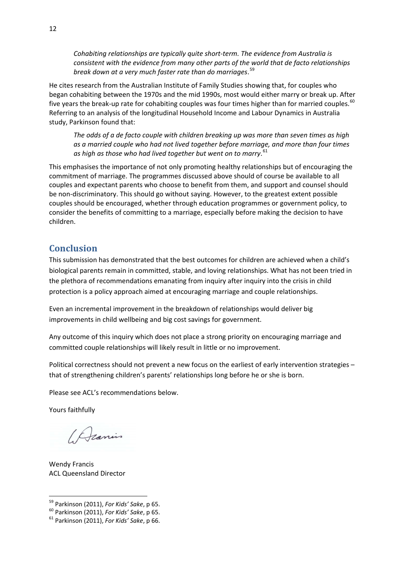<span id="page-11-0"></span>*Cohabiting relationships are typically quite short‐term. The evidence from Australia is consistent with the evidence from many other parts of the world that de facto relationships break down at a very much faster rate than do marriages*. [59](#page-11-1)

He cites research from the Australian Institute of Family Studies showing that, for couples who began cohabiting between the 1970s and the mid 1990s, most would either marry or break up. After five years the break-up rate for cohabiting couples was four times higher than for married couples.<sup>[60](#page-11-2)</sup> Referring to an analysis of the longitudinal Household Income and Labour Dynamics in Australia study, Parkinson found that:

*The odds of a de facto couple with children breaking up was more than seven times as high as a married couple who had not lived together before marriage, and more than four times as high as those who had lived together but went on to marry*. [61](#page-11-3)

This emphasises the importance of not only promoting healthy relationships but of encouraging the commitment of marriage. The programmes discussed above should of course be available to all couples and expectant parents who choose to benefit from them, and support and counsel should be non-discriminatory. This should go without saying. However, to the greatest extent possible couples should be encouraged, whether through education programmes or government policy, to consider the benefits of committing to a marriage, especially before making the decision to have children.

## **Conclusion**

This submission has demonstrated that the best outcomes for children are achieved when a child's biological parents remain in committed, stable, and loving relationships. What has not been tried in the plethora of recommendations emanating from inquiry after inquiry into the crisis in child protection is a policy approach aimed at encouraging marriage and couple relationships.

Even an incremental improvement in the breakdown of relationships would deliver big improvements in child wellbeing and big cost savings for government.

Any outcome of this inquiry which does not place a strong priority on encouraging marriage and committed couple relationships will likely result in little or no improvement.

Political correctness should not prevent a new focus on the earliest of early intervention strategies – that of strengthening children's parents' relationships long before he or she is born.

Please see ACL's recommendations below.

Yours faithfully

/ Deanis

Wendy Francis ACL Queensland Director

<span id="page-11-1"></span><sup>&</sup>lt;sup>59</sup> Parkinson (2011), For Kids' Sake, p 65.

<span id="page-11-2"></span><sup>59</sup> Parkinson (2011), *For Kids' Sake*, <sup>p</sup> 65. <sup>60</sup> Parkinson (2011), *For Kids' Sake*, <sup>p</sup> 65. <sup>61</sup> Parkinson (2011), *For Kids' Sake*, <sup>p</sup> 66.

<span id="page-11-3"></span>